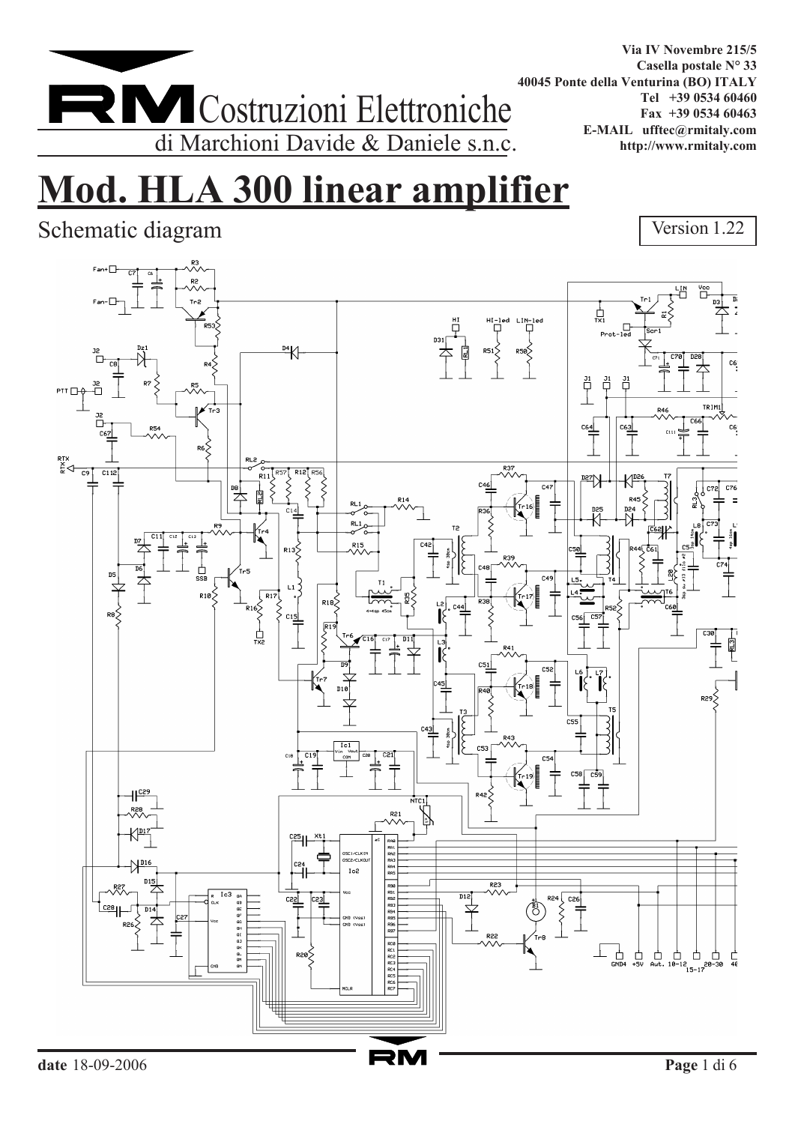

 **Via IV Novembre 215/5 Casella postale N° 33 40045 Ponte della Venturina (BO) ITALY Tel +39 0534 60460 Fax +39 0534 60463 E-MAIL ufftec@rmitaly.com http://www.rmitaly.com**

# **Mod. HLA 300 linear amplifier**

## Schematic diagram

Version 1.22

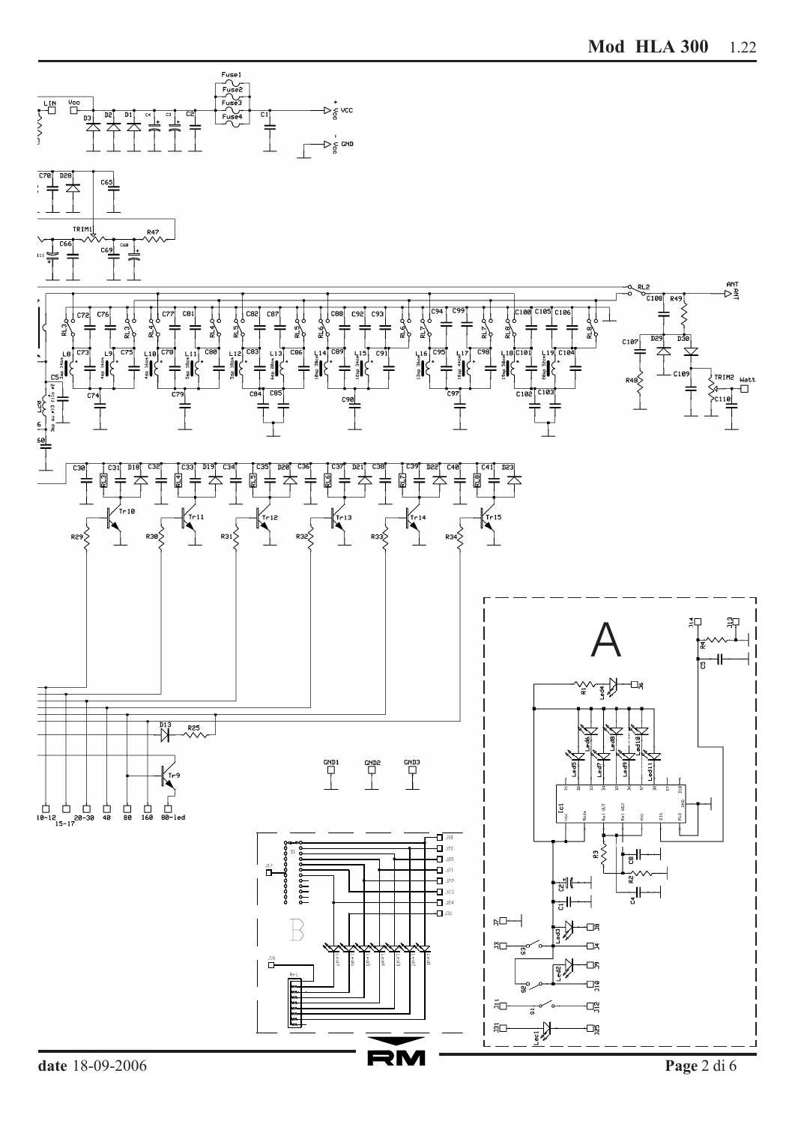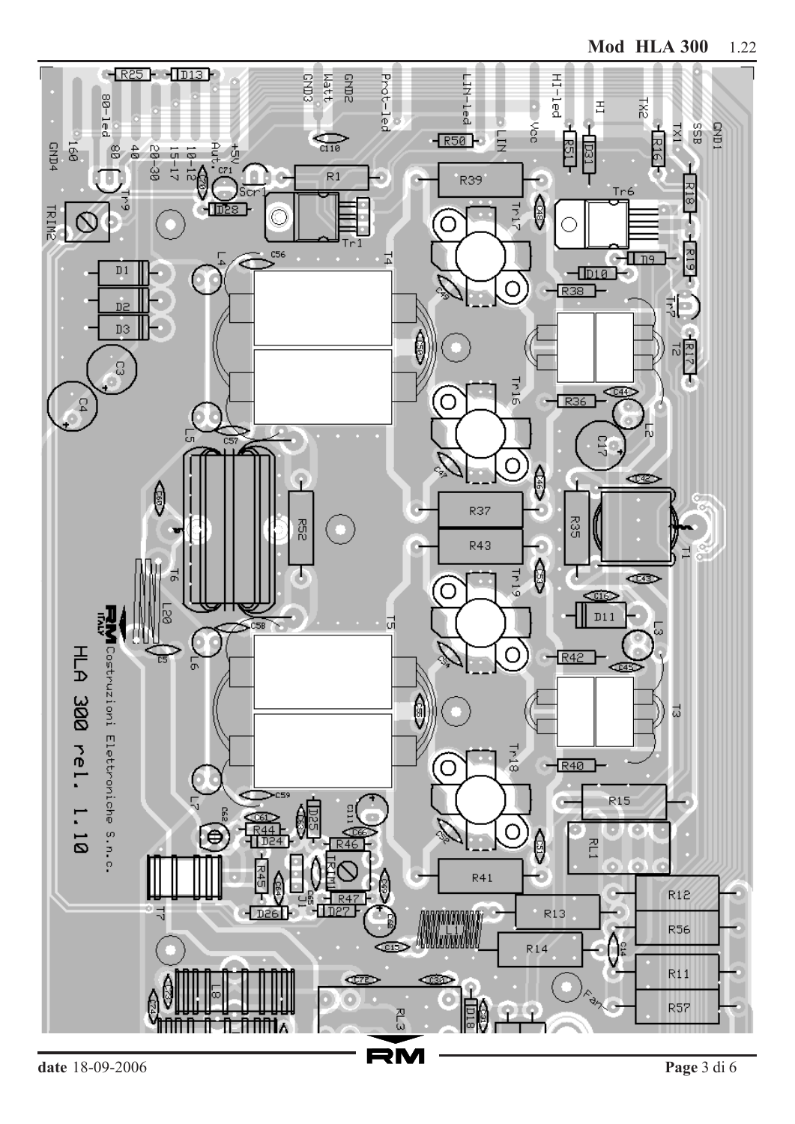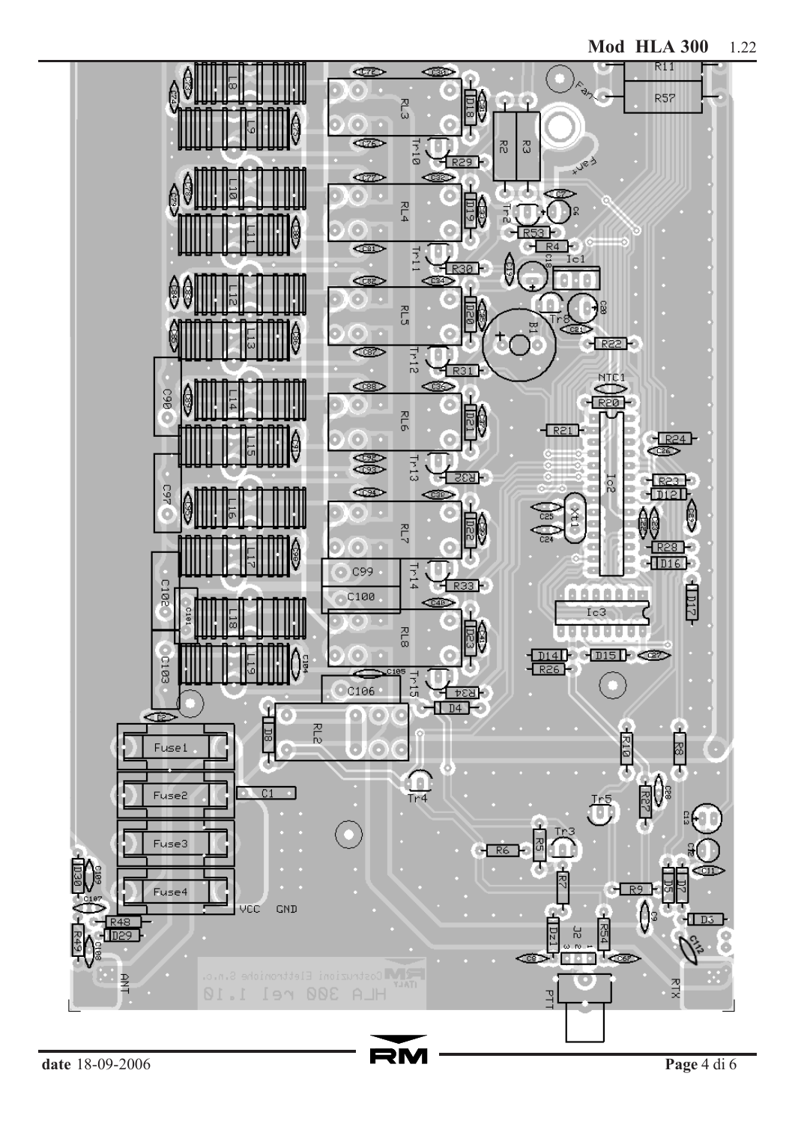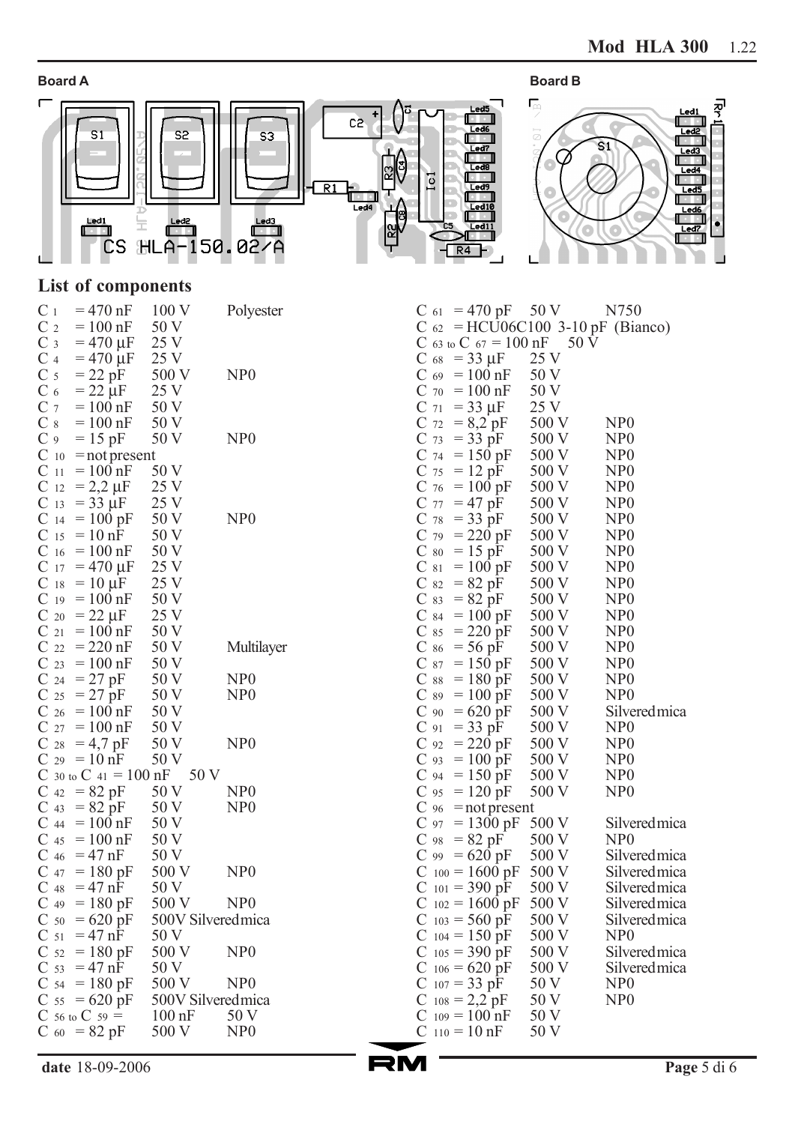#### **Board A Board B**

 $S1$ 

S<sub>2</sub>

<del>teal</del> 를 teal<br>- CS HLA-150.02<mark>⁄A</mark>

S3

 $\mathsf{r}$ 



### **List of components**

| C <sub>1</sub><br>C <sub>2</sub> | $= 470$ nF<br>$= 100$ nF                       | 100V<br>50 V      | Polyester                   | $C_{61}$ = 470 pF 50 V                    | $C_{62}$ = HCU06C100 3-10 pF (Bianco) | N750                               |
|----------------------------------|------------------------------------------------|-------------------|-----------------------------|-------------------------------------------|---------------------------------------|------------------------------------|
| $C_3$                            | $= 470 \mu F$                                  | 25 V              |                             |                                           | C 63 to C 67 = 100 nF 50 V            |                                    |
| C <sub>4</sub>                   | $= 470 \mu F$                                  | 25 V              |                             | $C_{68}$ = 33 $\mu$ F                     | 25 V                                  |                                    |
| C <sub>5</sub>                   | $= 22$ pF                                      | 500 V             | N <sub>P</sub> O            | $C_{69} = 100$ nF                         | 50 V                                  |                                    |
| C <sub>6</sub>                   | $= 22 \mu F$                                   | 25 V              |                             | $C_{70} = 100$ nF                         | 50 V                                  |                                    |
| C <sub>7</sub>                   | $= 100$ nF                                     | 50 V              |                             | C $71 = 33 \mu F$                         | 25 V                                  |                                    |
| $C_8$                            | $= 100$ nF                                     | 50 V              |                             | C $72 = 8,2 \text{ pF}$                   | 500 V                                 | NP <sub>0</sub>                    |
| C <sub>9</sub>                   | $= 15$ pF                                      | 50 V              | NP <sub>0</sub>             | $C_{73}$ = 33 pF                          | 500 V                                 | NP <sub>0</sub>                    |
| $C_{10}$                         | $=$ not present                                |                   |                             | $C_{74}$ = 150 pF                         | 500 V                                 | NP <sub>0</sub>                    |
| C <sub>11</sub>                  | $= 100$ nF                                     | 50 V              |                             | $C_{75} = 12 pF$                          | 500 V                                 | NP <sub>0</sub>                    |
|                                  | C $_{12}$ = 2,2 $\mu$ F                        | 25 V              |                             | $C_{76}$ = 100 pF                         | 500 V                                 | NP <sub>0</sub>                    |
|                                  | C $_{13}$ = 33 $\mu$ F                         | 25 V              |                             | C $_{77}$ = 47 pF                         | 500 V                                 | NP <sub>0</sub>                    |
|                                  | $C_{14} = 100 pF$                              | 50 V              | NP <sub>0</sub>             | $C_{78}$ = 33 pF                          | 500 V                                 | NP <sub>0</sub>                    |
|                                  | $C_{15} = 10 \text{ nF}$                       | 50 V              |                             | $C_{79}$ = 220 pF                         | 500 V                                 | NP <sub>0</sub>                    |
|                                  | $C_{16} = 100$ nF<br>C $_{17}$ = 470 $\mu$ F   | 50 V              |                             | $C_{80} = 15$ pF                          | 500 V                                 | NP <sub>0</sub>                    |
|                                  |                                                | 25 V<br>25 V      |                             | $C_{81} = 100 pF$<br>$C_{82} = 82 pF$     | 500 V                                 | NP <sub>0</sub><br>NP <sub>0</sub> |
|                                  | $C_{18} = 10 \,\mu F$<br>$C_{19} = 100$ nF     | 50 V              |                             | $C_{83}$ = 82 pF                          | 500 V<br>500 V                        | NP <sub>0</sub>                    |
|                                  | C $_{20}$ = 22 $\mu$ F                         | 25 V              |                             | $C_{84} = 100 pF$                         | 500 V                                 | NP <sub>0</sub>                    |
|                                  | $C_{21} = 100$ nF                              | 50 V              |                             | $C_{85}$ = 220 pF                         | 500 V                                 | NP <sub>0</sub>                    |
|                                  | $C_{22}$ = 220 nF                              | 50 V              | Multilayer                  | $C_{86}$ = 56 pF                          | 500 V                                 | NP <sub>0</sub>                    |
|                                  | $C_{23} = 100$ nF                              | 50 V              |                             | $C_{87} = 150$ pF                         | 500 V                                 | NP <sub>0</sub>                    |
|                                  | $C_{24}$ = 27 pF                               | 50 V              | NP <sub>0</sub>             | $C_{88}$ = 180 pF                         | 500 V                                 | NP <sub>0</sub>                    |
|                                  | $C_{25}$ = 27 pF                               | 50 V              | N <sub>P</sub> <sup>0</sup> | $C_{89} = 100 pF$                         | 500 V                                 | NP <sub>0</sub>                    |
|                                  | $C_{26}$ = 100 nF                              | 50 V              |                             | $C_{90} = 620 \text{ pF}$                 | 500 V                                 | Silvered mica                      |
|                                  | $C_{27} = 100$ nF                              | 50 V              |                             | $C_{91} = 33 pF$                          | 500 V                                 | N <sub>P</sub> <sup>0</sup>        |
|                                  | C $_{28}$ = 4,7 pF                             | 50 V              | NP <sub>0</sub>             | $C_{92}$ = 220 pF                         | 500 V                                 | N <sub>P</sub> <sup>0</sup>        |
|                                  | $C_{29} = 10 \text{ nF}$                       | 50 V              |                             | $C_{93} = 100 pF$                         | 500 V                                 | N <sub>P</sub> <sup>0</sup>        |
|                                  | C 30 to C 41 = 100 nF                          | 50 V              |                             | $C_{94} = 150 \text{ pF}$                 | 500 V                                 | N <sub>P</sub> <sup>0</sup>        |
|                                  | $C_{42} = 82 pF$                               | 50 V              | N <sub>P</sub> <sup>0</sup> | $C_{95} = 120 pF$                         | 500 V                                 | N <sub>P</sub> <sup>0</sup>        |
|                                  | $C_{43} = 82 pF$                               | 50 V              | N <sub>P</sub> <sup>0</sup> | $C_{96}$ = not present                    |                                       |                                    |
|                                  | $C_{44} = 100 \text{ nF}$                      | 50 V              |                             | $C_{.97}$ = 1300 pF                       | 500 V                                 | Silvered mica                      |
|                                  | $C_{45} = 100$ nF                              | 50 V              |                             | $C_{98}$ = 82 pF                          | 500 V                                 | N <sub>P</sub> <sup>0</sup>        |
|                                  | $C_{46} = 47$ nF                               | 50 V              |                             | $C_{99} = 620 pF$                         | 500 V                                 | Silveredmica                       |
|                                  | $C_{47}$ = 180 pF                              | 500 V             | NP <sub>0</sub>             | C $_{100} = 1600$ pF                      | 500 V                                 | Silveredmica                       |
|                                  | $C_{48}$ = 47 nF                               | 50 V<br>500 V     | NP <sub>0</sub>             | C $_{101} = 390$ pF                       | 500 V                                 | Silveredmica                       |
|                                  | $C_{49} = 180 \text{ pF}$<br>$C_{50}$ = 620 pF | 500V Silveredmica |                             | $C_{102} = 1600$ pF<br>$C_{103} = 560$ pF | 500 V                                 | Silveredmica                       |
|                                  | $C_{51} = 47$ nF                               | 50 V              |                             | C $_{104} = 150$ pF                       | 500 V<br>500 V                        | Silvered mica<br>NP <sub>0</sub>   |
|                                  | $C_{52}$ = 180 pF                              | 500 V             | NP <sub>0</sub>             | $C_{105} = 390$ pF                        | 500 V                                 | Silvered mica                      |
|                                  | $C_{53}$ = 47 nF                               | 50 V              |                             | C $_{106} = 620$ pF                       | 500 V                                 | <b>Silvered mica</b>               |
|                                  | $C_{54}$ = 180 pF                              | 500 V             | NP <sub>0</sub>             | C $_{107} = 33$ pF                        | 50 V                                  | N <sub>P</sub> <sup>0</sup>        |
|                                  | $C_{55}$ = 620 pF                              | 500V Silveredmica |                             | C $_{108} = 2,2$ pF                       | 50 V                                  | NP <sub>0</sub>                    |
|                                  | $C$ 56 to $C$ 59 =                             | $100$ nF          | 50 V                        | $C_{109} = 100$ nF                        | 50 V                                  |                                    |
|                                  | $C_{60}$ = 82 pF                               | 500 V             | N <sub>P</sub> <sup>0</sup> | $C_{110} = 10$ nF                         | 50 V                                  |                                    |
|                                  |                                                |                   |                             |                                           |                                       |                                    |

ဂြံ

 $\overline{R3}$ ြီ

١ë

 $\overline{c^2}$ 

 $\prod_{\text{Led4}}$ 

 $\overline{R}$